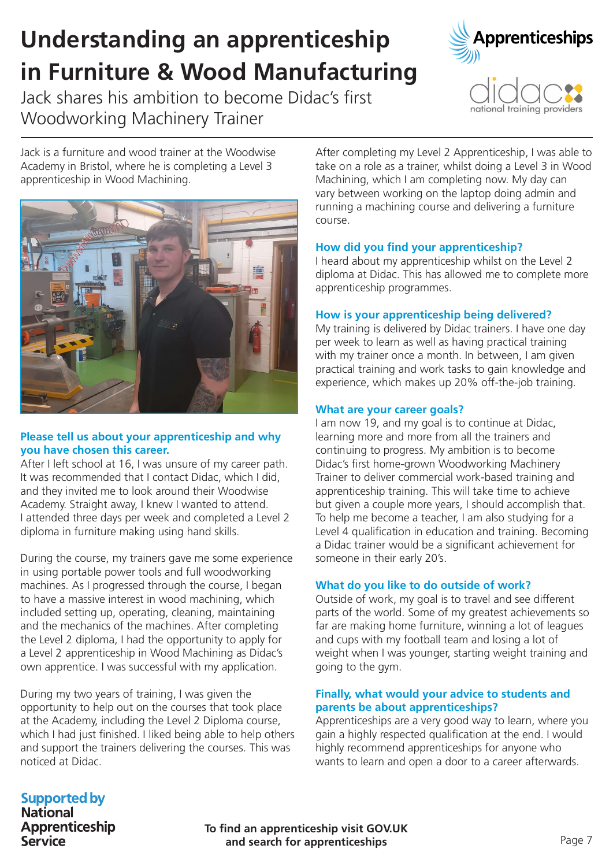# Understanding an apprenticeship in Furniture & Wood Manufacturing

Jack shares his ambition to become Didac's first Woodworking Machinery Trainer





Jack is a furniture and wood trainer at the Woodwise Academy in Bristol, where he is completing a Level 3 apprenticeship in Wood Machining.



## Please tell us about your apprenticeship and why you have chosen this career.

After I left school at 16, I was unsure of my career path. It was recommended that I contact Didac, which I did, and they invited me to look around their Woodwise Academy. Straight away, I knew I wanted to attend. I attended three days per week and completed a Level 2 diploma in furniture making using hand skills.

During the course, my trainers gave me some experience in using portable power tools and full woodworking machines. As I progressed through the course, I began to have a massive interest in wood machining, which included setting up, operating, cleaning, maintaining and the mechanics of the machines. After completing the Level 2 diploma, I had the opportunity to apply for a Level 2 apprenticeship in Wood Machining as Didac's own apprentice. I was successful with my application.

During my two years of training, I was given the opportunity to help out on the courses that took place at the Academy, including the Level 2 Diploma course, which I had just finished. I liked being able to help others and support the trainers delivering the courses. This was noticed at Didac.

After completing my Level 2 Apprenticeship, I was able to take on a role as a trainer, whilst doing a Level 3 in Wood Machining, which I am completing now. My day can vary between working on the laptop doing admin and running a machining course and delivering a furniture course.

#### How did you find your apprenticeship?

I heard about my apprenticeship whilst on the Level 2 diploma at Didac. This has allowed me to complete more apprenticeship programmes.

#### How is your apprenticeship being delivered?

My training is delivered by Didac trainers. I have one day per week to learn as well as having practical training with my trainer once a month. In between, I am given practical training and work tasks to gain knowledge and experience, which makes up 20% off-the-job training.

#### What are your career goals?

I am now 19, and my goal is to continue at Didac, learning more and more from all the trainers and continuing to progress. My ambition is to become Didac's first home-grown Woodworking Machinery Trainer to deliver commercial work-based training and apprenticeship training. This will take time to achieve but given a couple more years, I should accomplish that. To help me become a teacher, I am also studying for a Level 4 qualification in education and training. Becoming a Didac trainer would be a significant achievement for someone in their early 20's.

## What do you like to do outside of work?

Outside of work, my goal is to travel and see different parts of the world. Some of my greatest achievements so far are making home furniture, winning a lot of leagues and cups with my football team and losing a lot of weight when I was younger, starting weight training and going to the gym.

#### Finally, what would your advice to students and parents be about apprenticeships?

Apprenticeships are a very good way to learn, where you gain a highly respected qualification at the end. I would highly recommend apprenticeships for anyone who wants to learn and open a door to a career afterwards.

# **Supported by**

**National** Apprenticeship **Service** 

To find an apprenticeship visit GOV.UK and search for apprenticeships